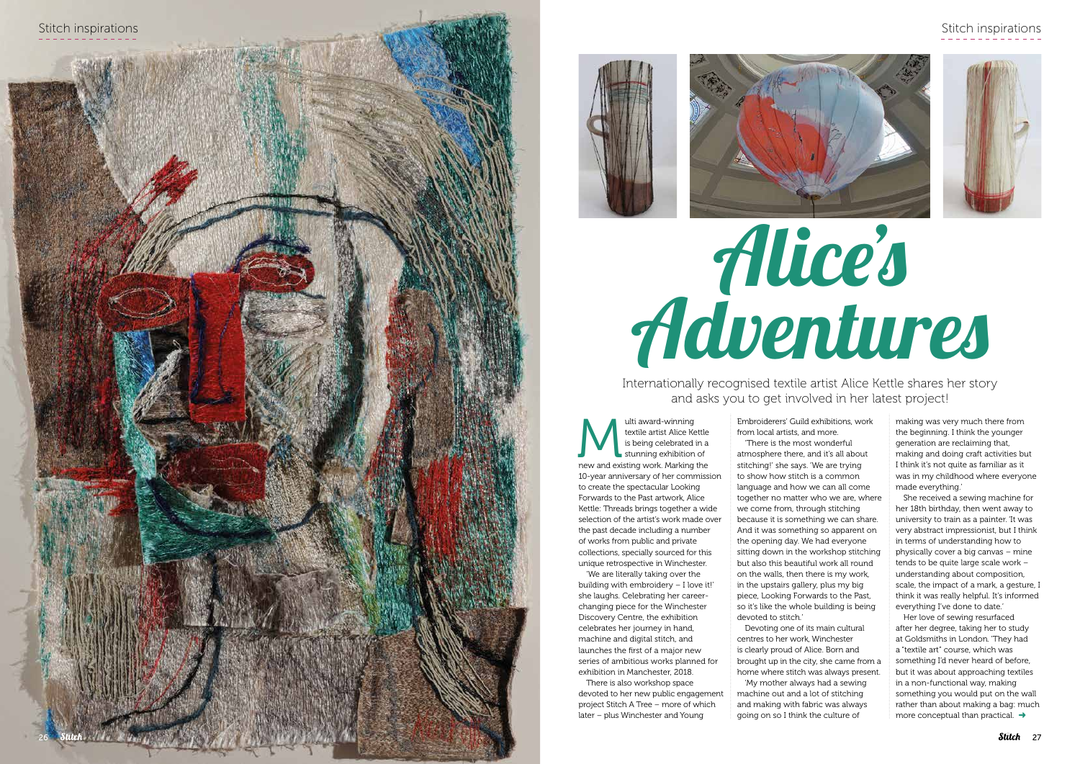# Stitch inspirations











Multi award-winning<br>
textile artist Alice Kettle<br>
is being celebrated in a<br>
stunning exhibition of<br>
new and existing work. Marking the textile artist Alice Kettle is being celebrated in a stunning exhibition of 10-year anniversary of her commission to create the spectacular Looking Forwards to the Past artwork, Alice Kettle: Threads brings together a wide selection of the artist's work made over the past decade including a number of works from public and private collections, specially sourced for this unique retrospective in Winchester.

'We are literally taking over the building with embroidery – I love it!' she laughs. Celebrating her careerchanging piece for the Winchester Discovery Centre, the exhibition celebrates her journey in hand, machine and digital stitch, and launches the first of a major new series of ambitious works planned for exhibition in Manchester, 2018.

'There is the most wonderful atmosphere there, and it's all about stitching!' she says. 'We are trying to show how stitch is a common language and how we can all come together no matter who we are, where we come from, through stitching because it is something we can share. And it was something so apparent on the opening day. We had everyone sitting down in the workshop stitching but also this beautiful work all round on the walls, then there is my work, in the upstairs gallery, plus my big piece, Looking Forwards to the Past, so it's like the whole building is being devoted to stitch.

There is also workshop space devoted to her new public engagement project Stitch A Tree – more of which later – plus Winchester and Young

Embroiderers' Guild exhibitions, work from local artists, and more.

> Her love of sewing resurfaced after her degree, taking her to study at Goldsmiths in London. 'They had a "textile art" course, which was something I'd never heard of before, but it was about approaching textiles in a non-functional way, making something you would put on the wall rather than about making a bag: much more conceptual than practical.  $\rightarrow$

Devoting one of its main cultural centres to her work, Winchester is clearly proud of Alice. Born and brought up in the city, she came from a home where stitch was always present. 'My mother always had a sewing machine out and a lot of stitching and making with fabric was always going on so I think the culture of

making was very much there from the beginning. I think the younger generation are reclaiming that, making and doing craft activities but I think it's not quite as familiar as it was in my childhood where everyone made everything.'

She received a sewing machine for her 18th birthday, then went away to university to train as a painter. 'It was very abstract impressionist, but I think in terms of understanding how to physically cover a big canvas – mine tends to be quite large scale work – understanding about composition, scale, the impact of a mark, a gesture, I think it was really helpful. It's informed everything I've done to date.'

Internationally recognised textile artist Alice Kettle shares her story and asks you to get involved in her latest project!

# Alice's Adventures